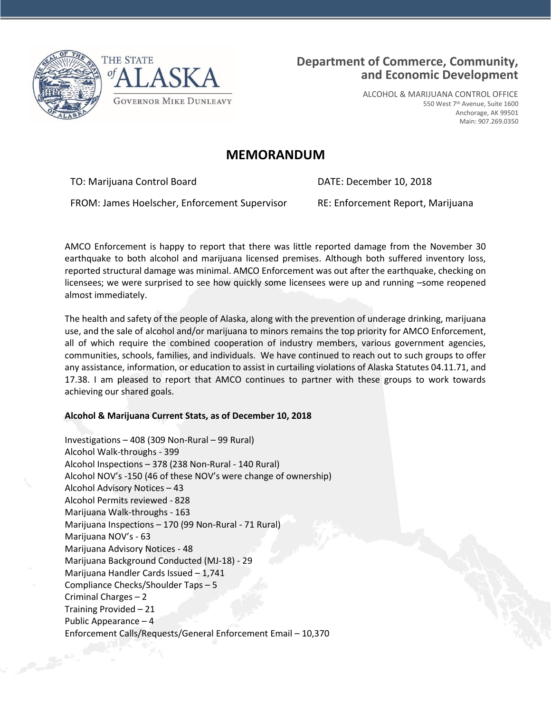



ALCOHOL & MARIJUANA CONTROL OFFICE 550 West 7th Avenue, Suite 1600 Anchorage, AK 99501 Main: 907.269.0350

## **MEMORANDUM**

TO: Marijuana Control Board **DATE: December 10, 2018** 

FROM: James Hoelscher, Enforcement Supervisor RE: Enforcement Report, Marijuana

AMCO Enforcement is happy to report that there was little reported damage from the November 30 earthquake to both alcohol and marijuana licensed premises. Although both suffered inventory loss, reported structural damage was minimal. AMCO Enforcement was out after the earthquake, checking on licensees; we were surprised to see how quickly some licensees were up and running -some reopened almost immediately.

The health and safety of the people of Alaska, along with the prevention of underage drinking, marijuana use, and the sale of alcohol and/or marijuana to minors remains the top priority for AMCO Enforcement, all of which require the combined cooperation of industry members, various government agencies, communities, schools, families, and individuals. We have continued to reach out to such groups to offer any assistance, information, or education to assist in curtailing violations of Alaska Statutes 04.11.71, and 17.38. I am pleased to report that AMCO continues to partner with these groups to work towards achieving our shared goals.

## **Alcohol & Marijuana Current Stats, as of December 10, 2018**

Investigations – 408 (309 Non-Rural – 99 Rural) Alcohol Walk-throughs - 399 Alcohol Inspections – 378 (238 Non-Rural - 140 Rural) Alcohol NOV's -150 (46 of these NOV's were change of ownership) Alcohol Advisory Notices – 43 Alcohol Permits reviewed - 828 Marijuana Walk-throughs - 163 Marijuana Inspections – 170 (99 Non-Rural - 71 Rural) Marijuana NOV's - 63 Marijuana Advisory Notices - 48 Marijuana Background Conducted (MJ-18) - 29 Marijuana Handler Cards Issued – 1,741 Compliance Checks/Shoulder Taps – 5 Criminal Charges – 2 Training Provided – 21 Public Appearance – 4 Enforcement Calls/Requests/General Enforcement Email – 10,370